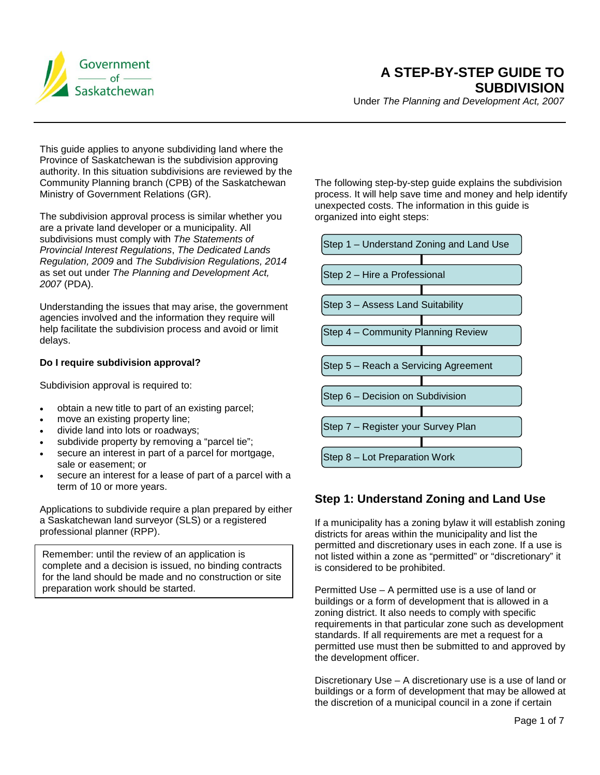

Under *The Planning and Development Act, 2007*

This guide applies to anyone subdividing land where the Province of Saskatchewan is the subdivision approving authority. In this situation subdivisions are reviewed by the Community Planning branch (CPB) of the Saskatchewan Ministry of Government Relations (GR).

The subdivision approval process is similar whether you are a private land developer or a municipality. All subdivisions must comply with *The Statements of Provincial Interest Regulations*, *The Dedicated Lands Regulation, 2009* and *The Subdivision Regulations, 2014*  as set out under *The Planning and Development Act, 2007* (PDA).

Understanding the issues that may arise, the government agencies involved and the information they require will help facilitate the subdivision process and avoid or limit delays.

#### **Do I require subdivision approval?**

Subdivision approval is required to:

- obtain a new title to part of an existing parcel;
- move an existing property line;
- divide land into lots or roadways;
- subdivide property by removing a "parcel tie";
- secure an interest in part of a parcel for mortgage, sale or easement; or
- secure an interest for a lease of part of a parcel with a term of 10 or more years.

Applications to subdivide require a plan prepared by either a Saskatchewan land surveyor (SLS) or a registered professional planner (RPP).

Remember: until the review of an application is complete and a decision is issued, no binding contracts for the land should be made and no construction or site preparation work should be started.

The following step-by-step guide explains the subdivision process. It will help save time and money and help identify unexpected costs. The information in this guide is organized into eight steps:



# **Step 1: Understand Zoning and Land Use**

If a municipality has a zoning bylaw it will establish zoning districts for areas within the municipality and list the permitted and discretionary uses in each zone. If a use is not listed within a zone as "permitted" or "discretionary" it is considered to be prohibited.

Permitted Use – A permitted use is a use of land or buildings or a form of development that is allowed in a zoning district. It also needs to comply with specific requirements in that particular zone such as development standards. If all requirements are met a request for a permitted use must then be submitted to and approved by the development officer.

Discretionary Use – A discretionary use is a use of land or buildings or a form of development that may be allowed at the discretion of a municipal council in a zone if certain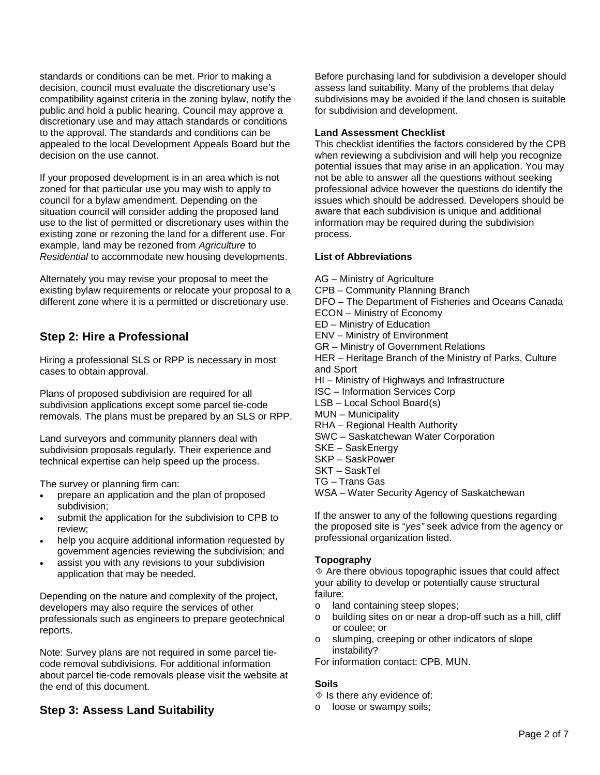standards or conditions can be met. Prior to making a decision, council must evaluate the discretionary use's compatibility against criteria in the zoning bylaw, notify the public and hold a public hearing. Council may approve a discretionary use and may attach standards or conditions to the approval. The standards and conditions can be appealed to the local Development Appeals Board but the decision on the use cannot.

If your proposed development is in an area which is not zoned for that particular use you may wish to apply to council for a bylaw amendment. Depending on the situation council will consider adding the proposed land use to the list of permitted or discretionary uses within the existing zone or rezoning the land for a different use. For example, land may be rezoned from *Agriculture* to *Residential* to accommodate new housing developments.

Alternately you may revise your proposal to meet the existing bylaw requirements or relocate your proposal to a different zone where it is a permitted or discretionary use.

# **Step 2: Hire a Professional**

Hiring a professional SLS or RPP is necessary in most cases to obtain approval.

Plans of proposed subdivision are required for all subdivision applications except some parcel tie-code removals. The plans must be prepared by an SLS or RPP.

Land surveyors and community planners deal with subdivision proposals regularly. Their experience and technical expertise can help speed up the process.

The survey or planning firm can:

- prepare an application and the plan of proposed subdivision;
- submit the application for the subdivision to CPB to review;
- help you acquire additional information requested by government agencies reviewing the subdivision; and
- assist you with any revisions to your subdivision application that may be needed.

Depending on the nature and complexity of the project, developers may also require the services of other professionals such as engineers to prepare geotechnical reports.

Note: Survey plans are not required in some parcel tiecode removal subdivisions. For additional information about parcel tie-code removals please visit the website at the end of this document.

# **Step 3: Assess Land Suitability**

Before purchasing land for subdivision a developer should assess land suitability. Many of the problems that delay subdivisions may be avoided if the land chosen is suitable for subdivision and development.

#### **Land Assessment Checklist**

This checklist identifies the factors considered by the CPB when reviewing a subdivision and will help you recognize potential issues that may arise in an application. You may not be able to answer all the questions without seeking professional advice however the questions do identify the issues which should be addressed. Developers should be aware that each subdivision is unique and additional information may be required during the subdivision process.

#### **List of Abbreviations**

AG – Ministry of Agriculture CPB – Community Planning Branch DFO – The Department of Fisheries and Oceans Canada ECON – Ministry of Economy ED – Ministry of Education ENV – Ministry of Environment GR – Ministry of Government Relations HER – Heritage Branch of the Ministry of Parks, Culture and Sport HI – Ministry of Highways and Infrastructure ISC – Information Services Corp LSB – Local School Board(s) MUN – Municipality RHA – Regional Health Authority SWC – Saskatchewan Water Corporation SKE – SaskEnergy SKP – SaskPower SKT – SaskTel TG – Trans Gas WSA – Water Security Agency of Saskatchewan

If the answer to any of the following questions regarding the proposed site is "*yes"* seek advice from the agency or professional organization listed.

## **Topography**

 $\Diamond$  Are there obvious topographic issues that could affect your ability to develop or potentially cause structural failure:

- o land containing steep slopes;
- o building sites on or near a drop-off such as a hill, cliff or coulee; or
- o slumping, creeping or other indicators of slope instability?

For information contact: CPB, MUN.

## **Soils**

 $\Diamond$  Is there any evidence of:

o loose or swampy soils;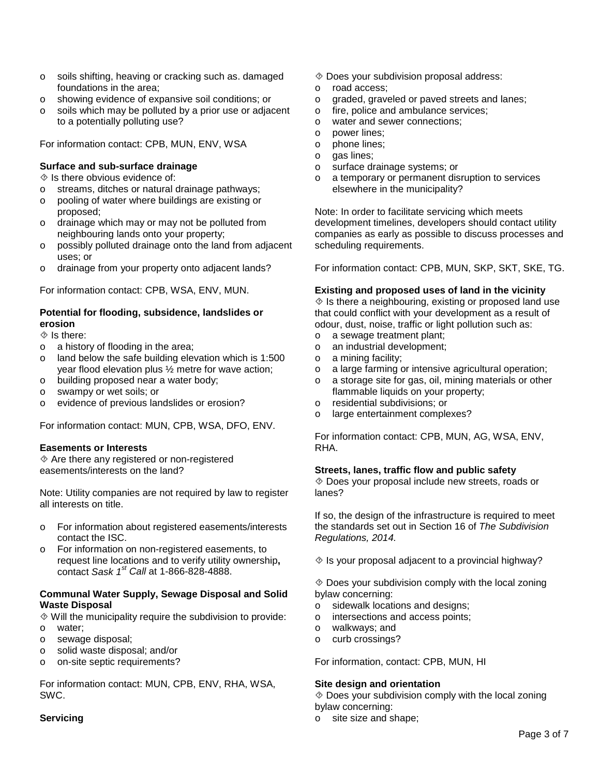- o soils shifting, heaving or cracking such as. damaged foundations in the area;
- o showing evidence of expansive soil conditions; or
- o soils which may be polluted by a prior use or adjacent to a potentially polluting use?

For information contact: CPB, MUN, ENV, WSA

## **Surface and sub-surface drainage**

 $\Diamond$  Is there obvious evidence of:

- o streams, ditches or natural drainage pathways;
- o pooling of water where buildings are existing or proposed;
- o drainage which may or may not be polluted from neighbouring lands onto your property;
- o possibly polluted drainage onto the land from adjacent uses; or
- o drainage from your property onto adjacent lands?

For information contact: CPB, WSA, ENV, MUN.

## **Potential for flooding, subsidence, landslides or erosion**

#### $\Diamond$  Is there:

- o a history of flooding in the area;
- o land below the safe building elevation which is 1:500 year flood elevation plus ½ metre for wave action;
- o building proposed near a water body;
- o swampy or wet soils; or
- o evidence of previous landslides or erosion?

For information contact: MUN, CPB, WSA, DFO, ENV.

## **Easements or Interests**

 Are there any registered or non-registered easements/interests on the land?

Note: Utility companies are not required by law to register all interests on title.

- o For information about registered easements/interests contact the ISC.
- o For information on non-registered easements, to request line locations and to verify utility ownership**,** contact *Sask 1st Call* at 1-866-828-4888.

#### **Communal Water Supply, Sewage Disposal and Solid Waste Disposal**

 $\Diamond$  Will the municipality require the subdivision to provide:

- o water;
- o sewage disposal;
- o solid waste disposal; and/or
- o on-site septic requirements?

For information contact: MUN, CPB, ENV, RHA, WSA, SWC.

## **Servicing**

- Does your subdivision proposal address:
- o road access;
- o graded, graveled or paved streets and lanes;
- o fire, police and ambulance services;<br>o water and sewer connections:
- water and sewer connections:
- o power lines;<br>o phone lines:
- o phone lines;<br>o gas lines:
- gas lines;
- o surface drainage systems; or
- o a temporary or permanent disruption to services elsewhere in the municipality?

Note: In order to facilitate servicing which meets development timelines, developers should contact utility companies as early as possible to discuss processes and scheduling requirements.

For information contact: CPB, MUN, SKP, SKT, SKE, TG.

#### **Existing and proposed uses of land in the vicinity**

 $\Diamond$  is there a neighbouring, existing or proposed land use that could conflict with your development as a result of odour, dust, noise, traffic or light pollution such as:

- o a sewage treatment plant;<br>o an industrial development:
- an industrial development:
- o a mining facility;<br>o a large farming c
- a large farming or intensive agricultural operation;
- o a storage site for gas, oil, mining materials or other flammable liquids on your property;
- o residential subdivisions; or
- o large entertainment complexes?

For information contact: CPB, MUN, AG, WSA, ENV, RHA.

#### **Streets, lanes, traffic flow and public safety**

 Does your proposal include new streets, roads or lanes?

If so, the design of the infrastructure is required to meet the standards set out in Section 16 of *The Subdivision Regulations, 2014.* 

 $\Diamond$  Is your proposal adjacent to a provincial highway?

 $\Diamond$  Does your subdivision comply with the local zoning bylaw concerning:

- o sidewalk locations and designs;
- o intersections and access points;<br>o walkways: and
- walkways; and
- o curb crossings?

For information, contact: CPB, MUN, HI

## **Site design and orientation**

 $\Diamond$  Does your subdivision comply with the local zoning bylaw concerning:

o site size and shape;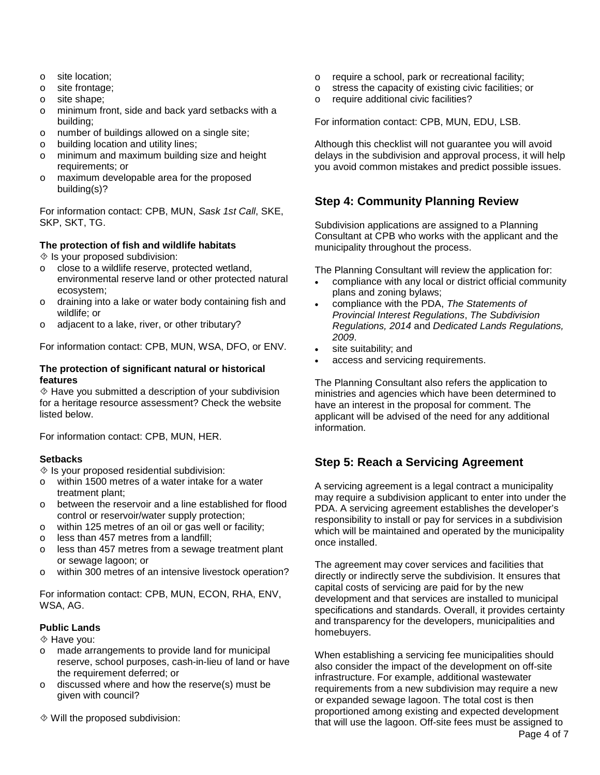- o site location;
- o site frontage;
- o site shape;
- o minimum front, side and back yard setbacks with a building;
- o number of buildings allowed on a single site;
- o building location and utility lines;
- o minimum and maximum building size and height requirements; or
- o maximum developable area for the proposed building(s)?

For information contact: CPB, MUN, *Sask 1st Call*, SKE, SKP, SKT, TG.

## **The protection of fish and wildlife habitats**

 $\Diamond$  Is your proposed subdivision:

- o close to a wildlife reserve, protected wetland, environmental reserve land or other protected natural ecosystem;
- o draining into a lake or water body containing fish and wildlife; or
- o adjacent to a lake, river, or other tributary?

For information contact: CPB, MUN, WSA, DFO, or ENV.

#### **The protection of significant natural or historical features**

 Have you submitted a description of your subdivision for a heritage resource assessment? Check the website listed below.

For information contact: CPB, MUN, HER.

## **Setbacks**

 $\Diamond$  Is your proposed residential subdivision:

- o within 1500 metres of a water intake for a water treatment plant;
- o between the reservoir and a line established for flood control or reservoir/water supply protection;
- o within 125 metres of an oil or gas well or facility;
- o less than 457 metres from a landfill;
- o less than 457 metres from a sewage treatment plant or sewage lagoon; or
- o within 300 metres of an intensive livestock operation?

For information contact: CPB, MUN, ECON, RHA, ENV, WSA, AG.

## **Public Lands**

Have you:

- o made arrangements to provide land for municipal reserve, school purposes, cash-in-lieu of land or have the requirement deferred; or
- o discussed where and how the reserve(s) must be given with council?
- Will the proposed subdivision:
- $\circ$  require a school, park or recreational facility;<br> $\circ$  stress the capacity of existing civic facilities:
- stress the capacity of existing civic facilities; or
- o require additional civic facilities?

For information contact: CPB, MUN, EDU, LSB.

Although this checklist will not guarantee you will avoid delays in the subdivision and approval process, it will help you avoid common mistakes and predict possible issues.

# **Step 4: Community Planning Review**

Subdivision applications are assigned to a Planning Consultant at CPB who works with the applicant and the municipality throughout the process.

The Planning Consultant will review the application for:

- compliance with any local or district official community plans and zoning bylaws;
- compliance with the PDA, *The Statements of Provincial Interest Regulations*, *The Subdivision Regulations, 2014* and *Dedicated Lands Regulations, 2009*.
- site suitability; and
- access and servicing requirements.

The Planning Consultant also refers the application to ministries and agencies which have been determined to have an interest in the proposal for comment. The applicant will be advised of the need for any additional information.

# **Step 5: Reach a Servicing Agreement**

A servicing agreement is a legal contract a municipality may require a subdivision applicant to enter into under the PDA. A servicing agreement establishes the developer's responsibility to install or pay for services in a subdivision which will be maintained and operated by the municipality once installed.

The agreement may cover services and facilities that directly or indirectly serve the subdivision. It ensures that capital costs of servicing are paid for by the new development and that services are installed to municipal specifications and standards. Overall, it provides certainty and transparency for the developers, municipalities and homebuyers.

When establishing a servicing fee municipalities should also consider the impact of the development on off-site infrastructure. For example, additional wastewater requirements from a new subdivision may require a new or expanded sewage lagoon. The total cost is then proportioned among existing and expected development that will use the lagoon. Off-site fees must be assigned to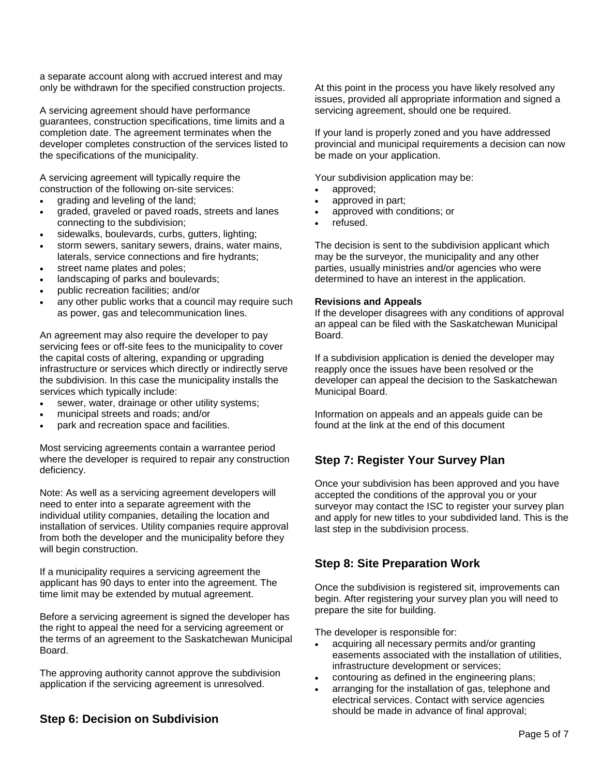a separate account along with accrued interest and may only be withdrawn for the specified construction projects.

A servicing agreement should have performance guarantees, construction specifications, time limits and a completion date. The agreement terminates when the developer completes construction of the services listed to the specifications of the municipality.

A servicing agreement will typically require the construction of the following on-site services:

- grading and leveling of the land;
- graded, graveled or paved roads, streets and lanes connecting to the subdivision;
- sidewalks, boulevards, curbs, gutters, lighting;
- storm sewers, sanitary sewers, drains, water mains, laterals, service connections and fire hydrants;
- street name plates and poles;
- landscaping of parks and boulevards;
- public recreation facilities; and/or
- any other public works that a council may require such as power, gas and telecommunication lines.

An agreement may also require the developer to pay servicing fees or off-site fees to the municipality to cover the capital costs of altering, expanding or upgrading infrastructure or services which directly or indirectly serve the subdivision. In this case the municipality installs the services which typically include:

- sewer, water, drainage or other utility systems;
- municipal streets and roads; and/or
- park and recreation space and facilities.

Most servicing agreements contain a warrantee period where the developer is required to repair any construction deficiency.

Note: As well as a servicing agreement developers will need to enter into a separate agreement with the individual utility companies, detailing the location and installation of services. Utility companies require approval from both the developer and the municipality before they will begin construction.

If a municipality requires a servicing agreement the applicant has 90 days to enter into the agreement. The time limit may be extended by mutual agreement.

Before a servicing agreement is signed the developer has the right to appeal the need for a servicing agreement or the terms of an agreement to the Saskatchewan Municipal Board.

The approving authority cannot approve the subdivision application if the servicing agreement is unresolved.

At this point in the process you have likely resolved any issues, provided all appropriate information and signed a servicing agreement, should one be required.

If your land is properly zoned and you have addressed provincial and municipal requirements a decision can now be made on your application.

Your subdivision application may be:

- approved;
- approved in part;
- approved with conditions; or
- refused.

The decision is sent to the subdivision applicant which may be the surveyor, the municipality and any other parties, usually ministries and/or agencies who were determined to have an interest in the application.

#### **Revisions and Appeals**

If the developer disagrees with any conditions of approval an appeal can be filed with the Saskatchewan Municipal Board.

If a subdivision application is denied the developer may reapply once the issues have been resolved or the developer can appeal the decision to the Saskatchewan Municipal Board.

Information on appeals and an appeals guide can be found at the link at the end of this document

# **Step 7: Register Your Survey Plan**

Once your subdivision has been approved and you have accepted the conditions of the approval you or your surveyor may contact the ISC to register your survey plan and apply for new titles to your subdivided land. This is the last step in the subdivision process.

# **Step 8: Site Preparation Work**

Once the subdivision is registered sit, improvements can begin. After registering your survey plan you will need to prepare the site for building.

The developer is responsible for:

- acquiring all necessary permits and/or granting easements associated with the installation of utilities, infrastructure development or services;
- contouring as defined in the engineering plans;
- arranging for the installation of gas, telephone and electrical services. Contact with service agencies should be made in advance of final approval;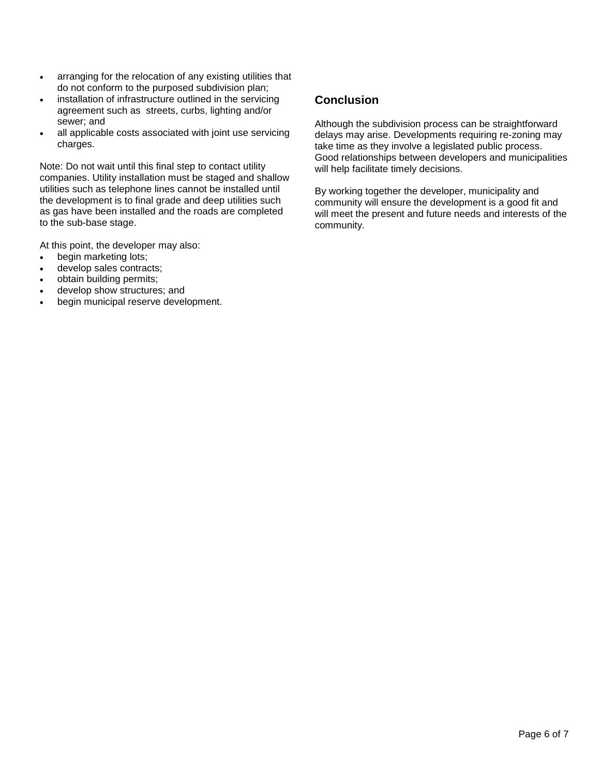- arranging for the relocation of any existing utilities that do not conform to the purposed subdivision plan;
- installation of infrastructure outlined in the servicing agreement such as streets, curbs, lighting and/or sewer; and
- all applicable costs associated with joint use servicing charges.

Note: Do not wait until this final step to contact utility companies. Utility installation must be staged and shallow utilities such as telephone lines cannot be installed until the development is to final grade and deep utilities such as gas have been installed and the roads are completed to the sub-base stage.

At this point, the developer may also:

- begin marketing lots;
- develop sales contracts;
- obtain building permits;
- develop show structures; and
- begin municipal reserve development.

# **Conclusion**

Although the subdivision process can be straightforward delays may arise. Developments requiring re-zoning may take time as they involve a legislated public process. Good relationships between developers and municipalities will help facilitate timely decisions.

By working together the developer, municipality and community will ensure the development is a good fit and will meet the present and future needs and interests of the community.